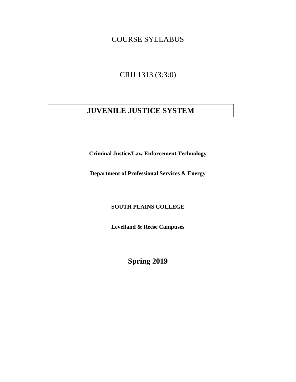## COURSE SYLLABUS

CRIJ 1313 (3:3:0)

# **JUVENILE JUSTICE SYSTEM**

**Criminal Justice/Law Enforcement Technology**

**Department of Professional Services & Energy**

**SOUTH PLAINS COLLEGE**

**Levelland & Reese Campuses**

**Spring 2019**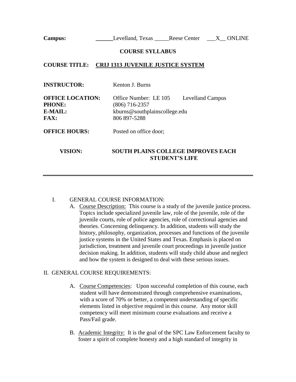**Campus:** \_\_\_\_\_\_\_\_\_\_\_\_Levelland, Texas \_\_\_\_\_\_Reese Center \_\_\_X\_\_ ONLINE

#### **COURSE SYLLABUS**

## **COURSE TITLE: CRIJ 1313 JUVENILE JUSTICE SYSTEM**

| <b>INSTRUCTOR:</b>                                                 | Kenton J. Burns                                                                                                     |  |  |
|--------------------------------------------------------------------|---------------------------------------------------------------------------------------------------------------------|--|--|
| <b>OFFICE LOCATION:</b><br><b>PHONE:</b><br><b>E-MAIL:</b><br>FAX: | Office Number: LE 105<br><b>Levelland Campus</b><br>(806) 716-2357<br>kburns@southplainscollege.edu<br>806 897-5288 |  |  |
| <b>OFFICE HOURS:</b>                                               | Posted on office door;                                                                                              |  |  |
| VISION:                                                            | <b>SOUTH PLAINS COLLEGE IMPROVES EACH</b>                                                                           |  |  |

## I. GENERAL COURSE INFORMATION:

A. Course Description: This course is a study of the juvenile justice process. Topics include specialized juvenile law, role of the juvenile, role of the juvenile courts, role of police agencies, role of correctional agencies and theories. Concerning delinquency. In addition, students will study the history, philosophy, organization, processes and functions of the juvenile justice systems in the United States and Texas. Emphasis is placed on jurisdiction, treatment and juvenile court proceedings in juvenile justice decision making. In addition, students will study child abuse and neglect and how the system is designed to deal with these serious issues.

**STUDENT'S LIFE**

#### II. GENERAL COURSE REQUIREMENTS:

- A. Course Competencies: Upon successful completion of this course, each student will have demonstrated through comprehensive examinations, with a score of 70% or better, a competent understanding of specific elements listed in objective required in this course. Any motor skill competency will meet minimum course evaluations and receive a Pass/Fail grade.
- B. Academic Integrity: It is the goal of the SPC Law Enforcement faculty to foster a spirit of complete honesty and a high standard of integrity in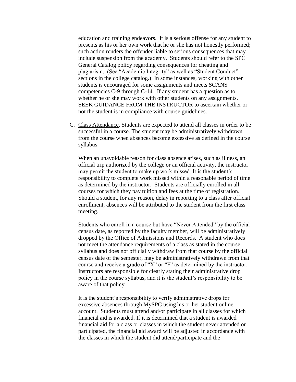education and training endeavors. It is a serious offense for any student to presents as his or her own work that he or she has not honestly performed; such action renders the offender liable to serious consequences that may include suspension from the academy. Students should refer to the SPC General Catalog policy regarding consequences for cheating and plagiarism. (See "Academic Integrity" as well as "Student Conduct" sections in the college catalog.) In some instances, working with other students is encouraged for some assignments and meets SCANS competencies C-9 through C-14. If any student has a question as to whether he or she may work with other students on any assignments, SEEK GUIDANCE FROM THE INSTRUCTOR to ascertain whether or not the student is in compliance with course guidelines.

C. Class Attendance. Students are expected to attend all classes in order to be successful in a course. The student may be administratively withdrawn from the course when absences become excessive as defined in the course syllabus.

When an unavoidable reason for class absence arises, such as illness, an official trip authorized by the college or an official activity, the instructor may permit the student to make up work missed. It is the student's responsibility to complete work missed within a reasonable period of time as determined by the instructor. Students are officially enrolled in all courses for which they pay tuition and fees at the time of registration. Should a student, for any reason, delay in reporting to a class after official enrollment, absences will be attributed to the student from the first class meeting.

Students who enroll in a course but have "Never Attended" by the official census date, as reported by the faculty member, will be administratively dropped by the Office of Admissions and Records. A student who does not meet the attendance requirements of a class as stated in the course syllabus and does not officially withdraw from that course by the official census date of the semester, may be administratively withdrawn from that course and receive a grade of "X" or "F" as determined by the instructor. Instructors are responsible for clearly stating their administrative drop policy in the course syllabus, and it is the student's responsibility to be aware of that policy.

It is the student's responsibility to verify administrative drops for excessive absences through MySPC using his or her student online account. Students must attend and/or participate in all classes for which financial aid is awarded. If it is determined that a student is awarded financial aid for a class or classes in which the student never attended or participated, the financial aid award will be adjusted in accordance with the classes in which the student did attend/participate and the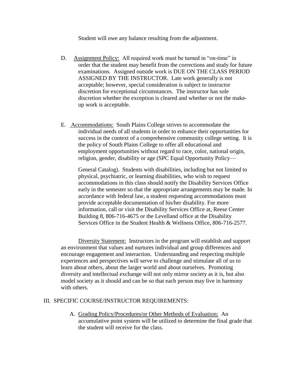Student will owe any balance resulting from the adjustment.

- D. Assignment Policy: All required work must be turned in "on-time" in order that the student may benefit from the corrections and study for future examinations. Assigned outside work is DUE ON THE CLASS PERIOD ASSIGNED BY THE INSTRUCTOR. Late work generally is not acceptable; however, special consideration is subject to instructor discretion for exceptional circumstances. The instructor has sole discretion whether the exception is cleared and whether or not the makeup work is acceptable.
- E. Accommodations: South Plains College strives to accommodate the individual needs of all students in order to enhance their opportunities for success in the context of a comprehensive community college setting. It is the policy of South Plains College to offer all educational and employment opportunities without regard to race, color, national origin, religion, gender, disability or age (SPC Equal Opportunity Policy—

General Catalog). Students with disabilities, including but not limited to physical, psychiatric, or learning disabilities, who wish to request accommodations in this class should notify the Disability Services Office early in the semester so that the appropriate arrangements may be made. In accordance with federal law, a student requesting accommodations must provide acceptable documentation of his/her disability. For more information, call or visit the Disability Services Office at, Reese Center Building 8, 806-716-4675 or the Levelland office at the Disability Services Office in the Student Health & Wellness Office, 806-716-2577.

Diversity Statement: Instructors in the program will establish and support an environment that values and nurtures individual and group differences and encourage engagement and interaction. Understanding and respecting multiple experiences and perspectives will serve to challenge and stimulate all of us to learn about others, about the larger world and about ourselves. Promoting diversity and intellectual exchange will not only mirror society as it is, but also model society as it should and can be so that each person may live in harmony with others.

#### III. SPECIFIC COURSE/INSTRUCTOR REQUIREMENTS:

A. Grading Policy/Procedures/or Other Methods of Evaluation: An accumulative point system will be utilized to determine the final grade that the student will receive for the class.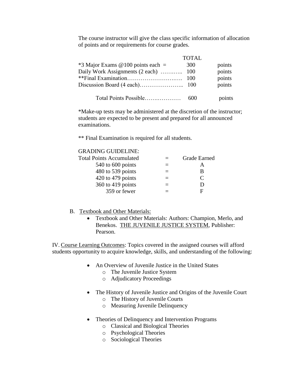The course instructor will give the class specific information of allocation of points and or requirements for course grades.

|                                      | <b>TOTAL</b> |        |
|--------------------------------------|--------------|--------|
| $*3$ Major Exams @ 100 points each = | 300          | points |
| Daily Work Assignments (2 each)  100 |              | points |
|                                      |              | points |
|                                      |              | points |
| Total Points Possible                | 600          | points |

\*Make-up tests may be administered at the discretion of the instructor; students are expected to be present and prepared for all announced examinations.

\*\* Final Examination is required for all students.

| <b>GRADING GUIDELINE:</b>       |     |                             |
|---------------------------------|-----|-----------------------------|
| <b>Total Points Accumulated</b> |     | <b>Grade Earned</b>         |
| 540 to 600 points               | $=$ | A                           |
| 480 to 539 points               |     | B                           |
| 420 to 479 points               |     | $\mathcal{C}_{\mathcal{C}}$ |
| 360 to 419 points               |     | Ð                           |
| 359 or fewer                    |     | F                           |

### B. Textbook and Other Materials:

• Textbook and Other Materials: Authors: Champion, Merlo, and Benekos. THE JUVENILE JUSTICE SYSTEM, Publisher: Pearson.

IV. Course Learning Outcomes: Topics covered in the assigned courses will afford students opportunity to acquire knowledge, skills, and understanding of the following:

- An Overview of Juvenile Justice in the United States
	- o The Juvenile Justice System
	- o Adjudicatory Proceedings
- The History of Juvenile Justice and Origins of the Juvenile Court
	- o The History of Juvenile Courts
	- o Measuring Juvenile Delinquency
- Theories of Delinquency and Intervention Programs
	- o Classical and Biological Theories
	- o Psychological Theories
	- o Sociological Theories